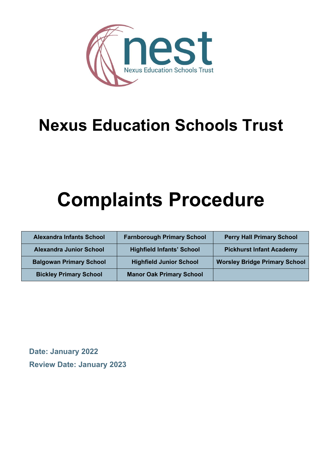

## **Nexus Education Schools Trust**

# **Complaints Procedure**

| <b>Alexandra Infants School</b> | <b>Farnborough Primary School</b> | <b>Perry Hall Primary School</b>     |
|---------------------------------|-----------------------------------|--------------------------------------|
| <b>Alexandra Junior School</b>  | <b>Highfield Infants' School</b>  | <b>Pickhurst Infant Academy</b>      |
| <b>Balgowan Primary School</b>  | <b>Highfield Junior School</b>    | <b>Worsley Bridge Primary School</b> |
| <b>Bickley Primary School</b>   | <b>Manor Oak Primary School</b>   |                                      |

**Date: January 2022 Review Date: January 2023**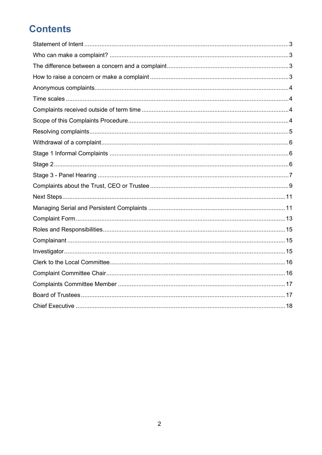## **Contents**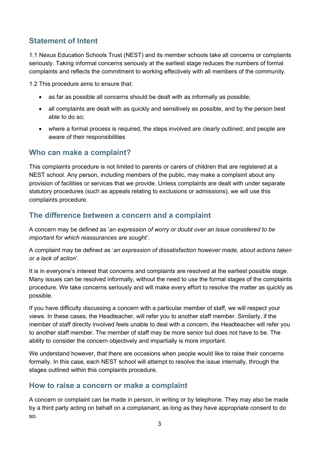#### <span id="page-2-0"></span>**Statement of Intent**

1.1 Nexus Education Schools Trust (NEST) and its member schools take all concerns or complaints seriously. Taking informal concerns seriously at the earliest stage reduces the numbers of formal complaints and reflects the commitment to working effectively with all members of the community.

1.2 This procedure aims to ensure that:

- as far as possible all concerns should be dealt with as informally as possible;
- all complaints are dealt with as quickly and sensitively as possible, and by the person best able to do so;
- where a formal process is required, the steps involved are clearly outlined; and people are aware of their responsibilities

#### <span id="page-2-1"></span>**Who can make a complaint?**

This complaints procedure is not limited to parents or carers of children that are registered at a NEST school. Any person, including members of the public, may make a complaint about any provision of facilities or services that we provide. Unless complaints are dealt with under separate statutory procedures (such as appeals relating to exclusions or admissions), we will use this complaints procedure.

#### <span id="page-2-2"></span>**The difference between a concern and a complaint**

A concern may be defined as '*an expression of worry or doubt over an issue considered to be important for which reassurances are sought'*.

A complaint may be defined as '*an expression of dissatisfaction however made, about actions taken or a lack of action*'.

It is in everyone's interest that concerns and complaints are resolved at the earliest possible stage. Many issues can be resolved informally, without the need to use the formal stages of the complaints procedure. We take concerns seriously and will make every effort to resolve the matter as quickly as possible.

If you have difficulty discussing a concern with a particular member of staff, we will respect your views. In these cases, the Headteacher, will refer you to another staff member. Similarly, if the member of staff directly involved feels unable to deal with a concern, the Headteacher will refer you to another staff member. The member of staff may be more senior but does not have to be. The ability to consider the concern objectively and impartially is more important.

We understand however, that there are occasions when people would like to raise their concerns formally. In this case, each NEST school will attempt to resolve the issue internally, through the stages outlined within this complaints procedure.

#### <span id="page-2-3"></span>**How to raise a concern or make a complaint**

A concern or complaint can be made in person, in writing or by telephone. They may also be made by a third party acting on behalf on a complainant, as long as they have appropriate consent to do so.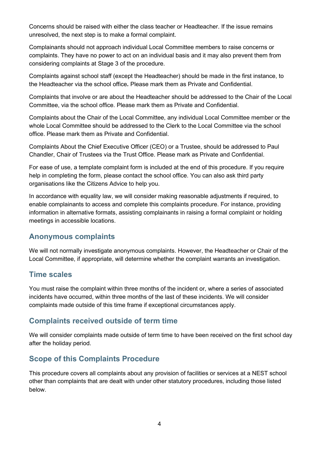Concerns should be raised with either the class teacher or Headteacher. If the issue remains unresolved, the next step is to make a formal complaint.

Complainants should not approach individual Local Committee members to raise concerns or complaints. They have no power to act on an individual basis and it may also prevent them from considering complaints at Stage 3 of the procedure.

Complaints against school staff (except the Headteacher) should be made in the first instance, to the Headteacher via the school office*.* Please mark them as Private and Confidential.

Complaints that involve or are about the Headteacher should be addressed to the Chair of the Local Committee, via the school office. Please mark them as Private and Confidential.

Complaints about the Chair of the Local Committee, any individual Local Committee member or the whole Local Committee should be addressed to the Clerk to the Local Committee via the school office. Please mark them as Private and Confidential.

Complaints About the Chief Executive Officer (CEO) or a Trustee, should be addressed to Paul Chandler, Chair of Trustees via the Trust Office. Please mark as Private and Confidential.

For ease of use, a template complaint form is included at the end of this procedure. If you require help in completing the form, please contact the school office. You can also ask third party organisations like the Citizens Advice to help you.

In accordance with equality law, we will consider making reasonable adjustments if required, to enable complainants to access and complete this complaints procedure. For instance, providing information in alternative formats, assisting complainants in raising a formal complaint or holding meetings in accessible locations.

#### <span id="page-3-0"></span>**Anonymous complaints**

We will not normally investigate anonymous complaints. However, the Headteacher or Chair of the Local Committee, if appropriate, will determine whether the complaint warrants an investigation.

#### <span id="page-3-1"></span>**Time scales**

You must raise the complaint within three months of the incident or, where a series of associated incidents have occurred, within three months of the last of these incidents. We will consider complaints made outside of this time frame if exceptional circumstances apply.

#### <span id="page-3-2"></span>**Complaints received outside of term time**

We will consider complaints made outside of term time to have been received on the first school day after the holiday period.

#### <span id="page-3-3"></span>**Scope of this Complaints Procedure**

This procedure covers all complaints about any provision of facilities or services at a NEST school other than complaints that are dealt with under other statutory procedures, including those listed below.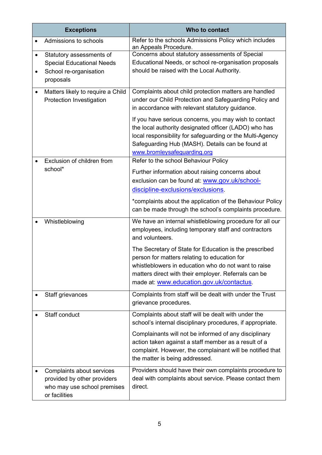| <b>Exceptions</b>                                                                                                             | Who to contact                                                                                                                                                                                                                                                                                                                                                                                                                       |
|-------------------------------------------------------------------------------------------------------------------------------|--------------------------------------------------------------------------------------------------------------------------------------------------------------------------------------------------------------------------------------------------------------------------------------------------------------------------------------------------------------------------------------------------------------------------------------|
| Admissions to schools                                                                                                         | Refer to the schools Admissions Policy which includes<br>an Appeals Procedure.                                                                                                                                                                                                                                                                                                                                                       |
| Statutory assessments of<br>$\bullet$<br><b>Special Educational Needs</b><br>School re-organisation<br>$\bullet$<br>proposals | Concerns about statutory assessments of Special<br>Educational Needs, or school re-organisation proposals<br>should be raised with the Local Authority.                                                                                                                                                                                                                                                                              |
| Matters likely to require a Child<br>$\bullet$<br>Protection Investigation                                                    | Complaints about child protection matters are handled<br>under our Child Protection and Safeguarding Policy and<br>in accordance with relevant statutory guidance.<br>If you have serious concerns, you may wish to contact<br>the local authority designated officer (LADO) who has<br>local responsibility for safeguarding or the Multi-Agency<br>Safeguarding Hub (MASH). Details can be found at<br>www.bromleysafeguarding.org |
| Exclusion of children from<br>school*                                                                                         | Refer to the school Behaviour Policy<br>Further information about raising concerns about<br>exclusion can be found at: www.gov.uk/school-<br>discipline-exclusions/exclusions.<br>*complaints about the application of the Behaviour Policy<br>can be made through the school's complaints procedure.                                                                                                                                |
| Whistleblowing                                                                                                                | We have an internal whistleblowing procedure for all our<br>employees, including temporary staff and contractors<br>and volunteers.<br>The Secretary of State for Education is the prescribed<br>person for matters relating to education for<br>whistleblowers in education who do not want to raise<br>matters direct with their employer. Referrals can be<br>made at: www.education.gov.uk/contactus.                            |
| Staff grievances                                                                                                              | Complaints from staff will be dealt with under the Trust<br>grievance procedures.                                                                                                                                                                                                                                                                                                                                                    |
| Staff conduct                                                                                                                 | Complaints about staff will be dealt with under the<br>school's internal disciplinary procedures, if appropriate.<br>Complainants will not be informed of any disciplinary<br>action taken against a staff member as a result of a<br>complaint. However, the complainant will be notified that<br>the matter is being addressed.                                                                                                    |
| Complaints about services<br>provided by other providers<br>who may use school premises<br>or facilities                      | Providers should have their own complaints procedure to<br>deal with complaints about service. Please contact them<br>direct.                                                                                                                                                                                                                                                                                                        |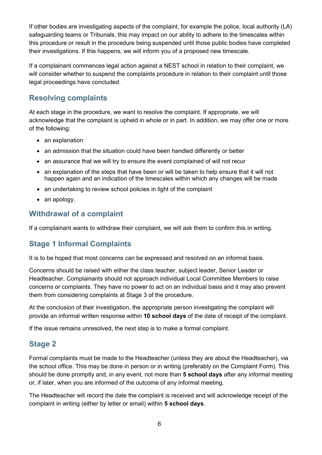If other bodies are investigating aspects of the complaint, for example the police, local authority (LA) safeguarding teams or Tribunals, this may impact on our ability to adhere to the timescales within this procedure or result in the procedure being suspended until those public bodies have completed their investigations. If this happens, we will inform you of a proposed new timescale.

If a complainant commences legal action against a NEST school in relation to their complaint, we will consider whether to suspend the complaints procedure in relation to their complaint until those legal proceedings have concluded.

#### <span id="page-5-0"></span>**Resolving complaints**

At each stage in the procedure, we want to resolve the complaint. If appropriate, we will acknowledge that the complaint is upheld in whole or in part. In addition, we may offer one or more of the following:

- an explanation
- an admission that the situation could have been handled differently or better
- an assurance that we will try to ensure the event complained of will not recur
- an explanation of the steps that have been or will be taken to help ensure that it will not happen again and an indication of the timescales within which any changes will be made
- an undertaking to review school policies in light of the complaint
- an apology.

#### <span id="page-5-1"></span>**Withdrawal of a complaint**

If a complainant wants to withdraw their complaint, we will ask them to confirm this in writing.

#### <span id="page-5-2"></span>**Stage 1 Informal Complaints**

It is to be hoped that most concerns can be expressed and resolved on an informal basis.

Concerns should be raised with either the class teacher, subject leader, Senior Leader or Headteacher. Complainants should not approach individual Local Committee Members to raise concerns or complaints. They have no power to act on an individual basis and it may also prevent them from considering complaints at Stage 3 of the procedure.

At the conclusion of their investigation, the appropriate person investigating the complaint will provide an informal written response within **10 school days** of the date of receipt of the complaint.

If the issue remains unresolved, the next step is to make a formal complaint.

#### <span id="page-5-3"></span>**Stage 2**

Formal complaints must be made to the Headteacher (unless they are about the Headteacher), via the school office. This may be done in person or in writing (preferably on the Complaint Form). This should be done promptly and, in any event, not more than **5 school days** after any informal meeting or, if later, when you are informed of the outcome of any informal meeting.

The Headteacher will record the date the complaint is received and will acknowledge receipt of the complaint in writing (either by letter or email) within **5 school days**.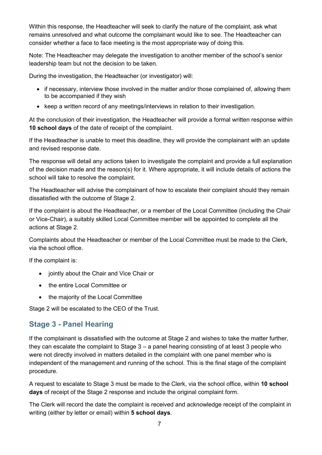Within this response, the Headteacher will seek to clarify the nature of the complaint, ask what remains unresolved and what outcome the complainant would like to see. The Headteacher can consider whether a face to face meeting is the most appropriate way of doing this.

Note: The Headteacher may delegate the investigation to another member of the school's senior leadership team but not the decision to be taken.

During the investigation, the Headteacher (or investigator) will:

- if necessary, interview those involved in the matter and/or those complained of, allowing them to be accompanied if they wish
- keep a written record of any meetings/interviews in relation to their investigation.

At the conclusion of their investigation, the Headteacher will provide a formal written response within **10 school days** of the date of receipt of the complaint.

If the Headteacher is unable to meet this deadline, they will provide the complainant with an update and revised response date.

The response will detail any actions taken to investigate the complaint and provide a full explanation of the decision made and the reason(s) for it. Where appropriate, it will include details of actions the school will take to resolve the complaint.

The Headteacher will advise the complainant of how to escalate their complaint should they remain dissatisfied with the outcome of Stage 2.

If the complaint is about the Headteacher, or a member of the Local Committee (including the Chair or Vice-Chair), a suitably skilled Local Committee member will be appointed to complete all the actions at Stage 2.

Complaints about the Headteacher or member of the Local Committee must be made to the Clerk, via the school office.

If the complaint is:

- jointly about the Chair and Vice Chair or
- the entire Local Committee or
- the majority of the Local Committee

Stage 2 will be escalated to the CEO of the Trust.

#### <span id="page-6-0"></span>**Stage 3 - Panel Hearing**

If the complainant is dissatisfied with the outcome at Stage 2 and wishes to take the matter further, they can escalate the complaint to Stage 3 – a panel hearing consisting of at least 3 people who were not directly involved in matters detailed in the complaint with one panel member who is independent of the management and running of the school. This is the final stage of the complaint procedure.

A request to escalate to Stage 3 must be made to the Clerk, via the school office, within **10 school days** of receipt of the Stage 2 response and include the original complaint form.

The Clerk will record the date the complaint is received and acknowledge receipt of the complaint in writing (either by letter or email) within **5 school days**.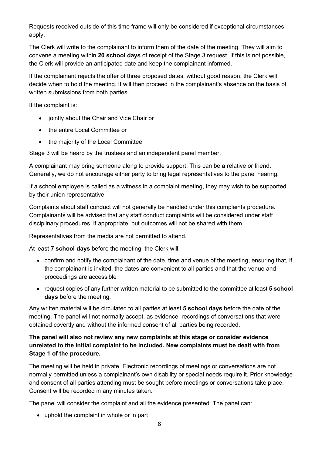Requests received outside of this time frame will only be considered if exceptional circumstances apply.

The Clerk will write to the complainant to inform them of the date of the meeting. They will aim to convene a meeting within **20 school days** of receipt of the Stage 3 request. If this is not possible, the Clerk will provide an anticipated date and keep the complainant informed.

If the complainant rejects the offer of three proposed dates, without good reason, the Clerk will decide when to hold the meeting. It will then proceed in the complainant's absence on the basis of written submissions from both parties.

If the complaint is:

- jointly about the Chair and Vice Chair or
- the entire Local Committee or
- the majority of the Local Committee

Stage 3 will be heard by the trustees and an independent panel member.

A complainant may bring someone along to provide support. This can be a relative or friend. Generally, we do not encourage either party to bring legal representatives to the panel hearing.

If a school employee is called as a witness in a complaint meeting, they may wish to be supported by their union representative.

Complaints about staff conduct will not generally be handled under this complaints procedure. Complainants will be advised that any staff conduct complaints will be considered under staff disciplinary procedures, if appropriate, but outcomes will not be shared with them.

Representatives from the media are not permitted to attend.

At least **7 school days** before the meeting, the Clerk will:

- confirm and notify the complainant of the date, time and venue of the meeting, ensuring that, if the complainant is invited, the dates are convenient to all parties and that the venue and proceedings are accessible
- request copies of any further written material to be submitted to the committee at least **5 school days** before the meeting.

Any written material will be circulated to all parties at least **5 school days** before the date of the meeting. The panel will not normally accept, as evidence, recordings of conversations that were obtained covertly and without the informed consent of all parties being recorded.

#### **The panel will also not review any new complaints at this stage or consider evidence unrelated to the initial complaint to be included. New complaints must be dealt with from Stage 1 of the procedure.**

The meeting will be held in private. Electronic recordings of meetings or conversations are not normally permitted unless a complainant's own disability or special needs require it. Prior knowledge and consent of all parties attending must be sought before meetings or conversations take place. Consent will be recorded in any minutes taken.

The panel will consider the complaint and all the evidence presented. The panel can:

• uphold the complaint in whole or in part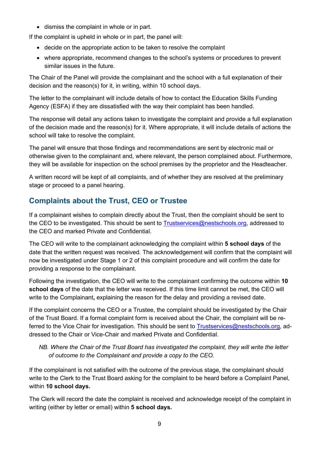• dismiss the complaint in whole or in part.

If the complaint is upheld in whole or in part, the panel will:

- decide on the appropriate action to be taken to resolve the complaint
- where appropriate, recommend changes to the school's systems or procedures to prevent similar issues in the future.

The Chair of the Panel will provide the complainant and the school with a full explanation of their decision and the reason(s) for it, in writing, within 10 school days.

The letter to the complainant will include details of how to contact the Education Skills Funding Agency (ESFA) if they are dissatisfied with the way their complaint has been handled.

The response will detail any actions taken to investigate the complaint and provide a full explanation of the decision made and the reason(s) for it. Where appropriate, it will include details of actions the school will take to resolve the complaint.

The panel will ensure that those findings and recommendations are sent by electronic mail or otherwise given to the complainant and, where relevant, the person complained about. Furthermore, they will be available for inspection on the school premises by the proprietor and the Headteacher.

A written record will be kept of all complaints, and of whether they are resolved at the preliminary stage or proceed to a panel hearing.

#### <span id="page-8-0"></span>**Complaints about the Trust, CEO or Trustee**

If a complainant wishes to complain directly about the Trust, then the complaint should be sent to the CEO to be investigated. This should be sent to [Trustservices@nestschools.org,](mailto:Trustservices@nestschools.org) addressed to the CEO and marked Private and Confidential.

The CEO will write to the complainant acknowledging the complaint within **5 school days** of the date that the written request was received. The acknowledgement will confirm that the complaint will now be investigated under Stage 1 or 2 of this complaint procedure and will confirm the date for providing a response to the complainant.

Following the investigation, the CEO will write to the complainant confirming the outcome within **10 school days** of the date that the letter was received. If this time limit cannot be met, the CEO will write to the Complainant**,** explaining the reason for the delay and providing a revised date.

If the complaint concerns the CEO or a Trustee, the complaint should be investigated by the Chair of the Trust Board. If a formal complaint form is received about the Chair, the complaint will be re-ferred to the Vice Chair for investigation. This should be sent to [Trustservices@nestschools.org,](http://www.oiahe.org.uk/about-us/policies/policy-on-frivolous-or-vexatious-complaints.aspx) addressed to the Chair or Vice-Chair and marked Private and Confidential.

*NB. Where the Chair of the Trust Board has investigated the complaint, they will write the letter of outcome to the Complainant and provide a copy to the CEO.* 

If the complainant is not satisfied with the outcome of the previous stage, the complainant should write to the Clerk to the Trust Board asking for the complaint to be heard before a Complaint Panel, within **10 school days.**

The Clerk will record the date the complaint is received and acknowledge receipt of the complaint in writing (either by letter or email) within **5 school days.**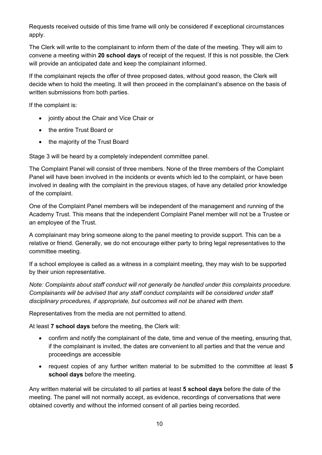Requests received outside of this time frame will only be considered if exceptional circumstances apply.

The Clerk will write to the complainant to inform them of the date of the meeting. They will aim to convene a meeting within **20 school days** of receipt of the request. If this is not possible, the Clerk will provide an anticipated date and keep the complainant informed.

If the complainant rejects the offer of three proposed dates, without good reason, the Clerk will decide when to hold the meeting. It will then proceed in the complainant's absence on the basis of written submissions from both parties.

If the complaint is:

- jointly about the Chair and Vice Chair or
- the entire Trust Board or
- the majority of the Trust Board

Stage 3 will be heard by a completely independent committee panel.

The Complaint Panel will consist of three members. None of the three members of the Complaint Panel will have been involved in the incidents or events which led to the complaint, or have been involved in dealing with the complaint in the previous stages, of have any detailed prior knowledge of the complaint.

One of the Complaint Panel members will be independent of the management and running of the Academy Trust. This means that the independent Complaint Panel member will not be a Trustee or an employee of the Trust.

A complainant may bring someone along to the panel meeting to provide support. This can be a relative or friend. Generally, we do not encourage either party to bring legal representatives to the committee meeting.

If a school employee is called as a witness in a complaint meeting, they may wish to be supported by their union representative.

*Note: Complaints about staff conduct will not generally be handled under this complaints procedure. Complainants will be advised that any staff conduct complaints will be considered under staff disciplinary procedures, if appropriate, but outcomes will not be shared with them.* 

Representatives from the media are not permitted to attend.

At least **7 school days** before the meeting, the Clerk will:

- confirm and notify the complainant of the date, time and venue of the meeting, ensuring that, if the complainant is invited, the dates are convenient to all parties and that the venue and proceedings are accessible
- request copies of any further written material to be submitted to the committee at least **5 school days** before the meeting.

Any written material will be circulated to all parties at least **5 school days** before the date of the meeting. The panel will not normally accept, as evidence, recordings of conversations that were obtained covertly and without the informed consent of all parties being recorded.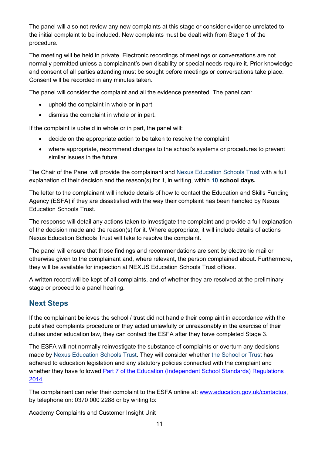The panel will also not review any new complaints at this stage or consider evidence unrelated to the initial complaint to be included. New complaints must be dealt with from Stage 1 of the procedure.

The meeting will be held in private. Electronic recordings of meetings or conversations are not normally permitted unless a complainant's own disability or special needs require it. Prior knowledge and consent of all parties attending must be sought before meetings or conversations take place. Consent will be recorded in any minutes taken.

The panel will consider the complaint and all the evidence presented. The panel can:

- uphold the complaint in whole or in part
- dismiss the complaint in whole or in part.

If the complaint is upheld in whole or in part, the panel will:

- decide on the appropriate action to be taken to resolve the complaint
- where appropriate, recommend changes to the school's systems or procedures to prevent similar issues in the future.

The Chair of the Panel will provide the complainant and Nexus Education Schools Trust with a full explanation of their decision and the reason(s) for it, in writing, within **10 school days.**

The letter to the complainant will include details of how to contact the Education and Skills Funding Agency (ESFA) if they are dissatisfied with the way their complaint has been handled by Nexus Education Schools Trust.

The response will detail any actions taken to investigate the complaint and provide a full explanation of the decision made and the reason(s) for it. Where appropriate, it will include details of actions Nexus Education Schools Trust will take to resolve the complaint.

The panel will ensure that those findings and recommendations are sent by electronic mail or otherwise given to the complainant and, where relevant, the person complained about. Furthermore, they will be available for inspection at NEXUS Education Schools Trust offices.

A written record will be kept of all complaints, and of whether they are resolved at the preliminary stage or proceed to a panel hearing.

#### <span id="page-10-0"></span>**Next Steps**

If the complainant believes the school / trust did not handle their complaint in accordance with the published complaints procedure or they acted unlawfully or unreasonably in the exercise of their duties under education law, they can contact the ESFA after they have completed Stage 3.

The ESFA will not normally reinvestigate the substance of complaints or overturn any decisions made by Nexus Education Schools Trust. They will consider whether the School or Trust has adhered to education legislation and any statutory policies connected with the complaint and whether they have followed Part 7 of the Education (Independent School Standards) Regulations [2014.](http://www.legislation.gov.uk/uksi/2010/1997/schedule/1/made)

The complainant can refer their complaint to the ESFA online at: [www.education.gov.uk/contactus,](http://www.oiahe.org.uk/about-us/policies/policy-on-frivolous-or-vexatious-complaints.aspx) by telephone on: 0370 000 2288 or by writing to:

Academy Complaints and Customer Insight Unit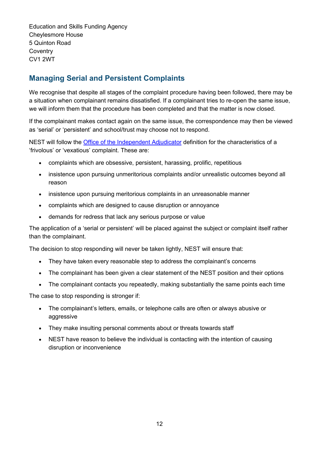Education and Skills Funding Agency Cheylesmore House 5 Quinton Road **Coventry** CV1 2WT

#### <span id="page-11-0"></span>**Managing Serial and Persistent Complaints**

We recognise that despite all stages of the complaint procedure having been followed, there may be a situation when complainant remains dissatisfied. If a complainant tries to re-open the same issue, we will inform them that the procedure has been completed and that the matter is now closed.

If the complainant makes contact again on the same issue, the correspondence may then be viewed as 'serial' or 'persistent' and school/trust may choose not to respond.

NEST will follow the Office of the [Independent Adjudicator](mailto:Trustservices@nestschools.org) definition for the characteristics of a 'frivolous' or 'vexatious' complaint. These are:

- complaints which are obsessive, persistent, harassing, prolific, repetitious
- insistence upon pursuing unmeritorious complaints and/or unrealistic outcomes beyond all reason
- insistence upon pursuing meritorious complaints in an unreasonable manner
- complaints which are designed to cause disruption or annoyance
- demands for redress that lack any serious purpose or value

The application of a 'serial or persistent' will be placed against the subject or complaint itself rather than the complainant.

The decision to stop responding will never be taken lightly, NEST will ensure that:

- They have taken every reasonable step to address the complainant's concerns
- The complainant has been given a clear statement of the NEST position and their options
- The complainant contacts you repeatedly, making substantially the same points each time

The case to stop responding is stronger if:

- The complainant's letters, emails, or telephone calls are often or always abusive or aggressive
- They make insulting personal comments about or threats towards staff
- NEST have reason to believe the individual is contacting with the intention of causing disruption or inconvenience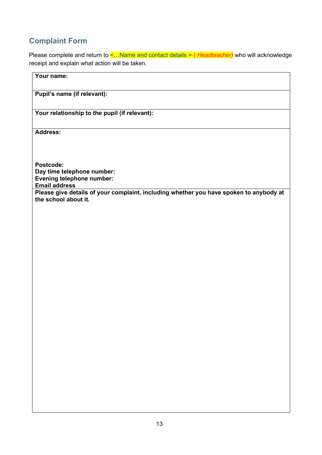### <span id="page-12-0"></span>**Complaint Form**

Please complete and return to <…Name and contact details > ( *Headteacher)* who will acknowledge receipt and explain what action will be taken.

| Your name:                                                                                                     |
|----------------------------------------------------------------------------------------------------------------|
| Pupil's name (if relevant):                                                                                    |
| Your relationship to the pupil (if relevant):                                                                  |
| Address:                                                                                                       |
| Postcode:                                                                                                      |
| Day time telephone number:<br>Evening telephone number:<br><b>Email address</b>                                |
| Please give details of your complaint, including whether you have spoken to anybody at<br>the school about it. |
|                                                                                                                |
|                                                                                                                |
|                                                                                                                |
|                                                                                                                |
|                                                                                                                |
|                                                                                                                |
|                                                                                                                |
|                                                                                                                |
|                                                                                                                |
|                                                                                                                |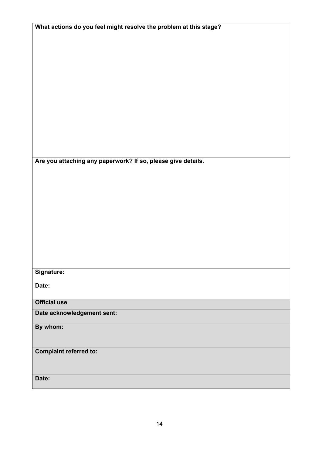| What actions do you feel might resolve the problem at this stage? |
|-------------------------------------------------------------------|
|                                                                   |
|                                                                   |
|                                                                   |
|                                                                   |
|                                                                   |
|                                                                   |
|                                                                   |
|                                                                   |
|                                                                   |
|                                                                   |
|                                                                   |
|                                                                   |
|                                                                   |
|                                                                   |
|                                                                   |
|                                                                   |
|                                                                   |
|                                                                   |
|                                                                   |
|                                                                   |
| Are you attaching any paperwork? If so, please give details.      |
|                                                                   |
|                                                                   |
|                                                                   |
|                                                                   |
|                                                                   |
|                                                                   |
|                                                                   |
|                                                                   |
|                                                                   |
|                                                                   |
|                                                                   |
|                                                                   |
|                                                                   |
|                                                                   |
|                                                                   |
|                                                                   |
|                                                                   |
| Signature:                                                        |
|                                                                   |
| Date:                                                             |
|                                                                   |
|                                                                   |
| <b>Official use</b>                                               |
|                                                                   |
| Date acknowledgement sent:                                        |
|                                                                   |
| By whom:                                                          |
|                                                                   |
|                                                                   |
|                                                                   |
| <b>Complaint referred to:</b>                                     |
|                                                                   |
|                                                                   |
|                                                                   |
|                                                                   |
| Date:                                                             |
|                                                                   |
|                                                                   |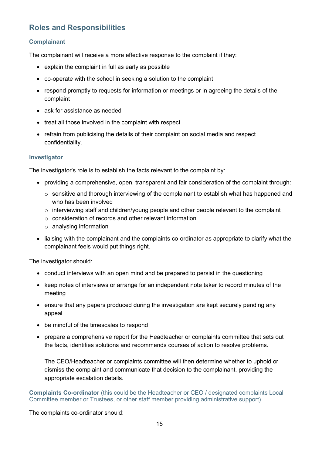#### <span id="page-14-0"></span>**Roles and Responsibilities**

#### <span id="page-14-1"></span>**Complainant**

The complainant will receive a more effective response to the complaint if they:

- explain the complaint in full as early as possible
- co-operate with the school in seeking a solution to the complaint
- respond promptly to requests for information or meetings or in agreeing the details of the complaint
- ask for assistance as needed
- treat all those involved in the complaint with respect
- refrain from publicising the details of their complaint on social media and respect confidentiality.

#### <span id="page-14-2"></span>**Investigator**

The investigator's role is to establish the facts relevant to the complaint by:

- providing a comprehensive, open, transparent and fair consideration of the complaint through:
	- $\circ$  sensitive and thorough interviewing of the complainant to establish what has happened and who has been involved
	- o interviewing staff and children/young people and other people relevant to the complaint
	- $\circ$  consideration of records and other relevant information
	- o analysing information
- liaising with the complainant and the complaints co-ordinator as appropriate to clarify what the complainant feels would put things right.

The investigator should:

- conduct interviews with an open mind and be prepared to persist in the questioning
- keep notes of interviews or arrange for an independent note taker to record minutes of the meeting
- ensure that any papers produced during the investigation are kept securely pending any appeal
- be mindful of the timescales to respond
- prepare a comprehensive report for the Headteacher or complaints committee that sets out the facts, identifies solutions and recommends courses of action to resolve problems.

The CEO/Headteacher or complaints committee will then determine whether to uphold or dismiss the complaint and communicate that decision to the complainant, providing the appropriate escalation details.

**Complaints Co-ordinator** (this could be the Headteacher or CEO / designated complaints Local Committee member or Trustees, or other staff member providing administrative support)

The complaints co-ordinator should: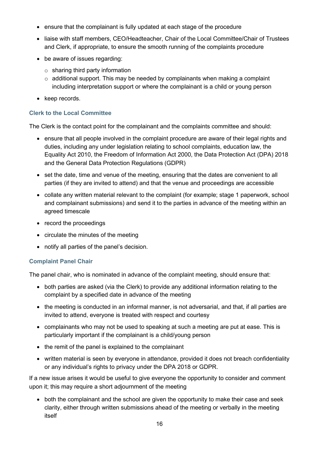- ensure that the complainant is fully updated at each stage of the procedure
- liaise with staff members, CEO/Headteacher, Chair of the Local Committee/Chair of Trustees and Clerk, if appropriate, to ensure the smooth running of the complaints procedure
- be aware of issues regarding:
	- $\circ$  sharing third party information
	- $\circ$  additional support. This may be needed by complainants when making a complaint including interpretation support or where the complainant is a child or young person
- keep records.

#### <span id="page-15-0"></span>**Clerk to the Local Committee**

The Clerk is the contact point for the complainant and the complaints committee and should:

- ensure that all people involved in the complaint procedure are aware of their legal rights and duties, including any under legislation relating to school complaints, education law, the Equality Act 2010, the Freedom of Information Act 2000, the Data Protection Act (DPA) 2018 and the General Data Protection Regulations (GDPR)
- set the date, time and venue of the meeting, ensuring that the dates are convenient to all parties (if they are invited to attend) and that the venue and proceedings are accessible
- collate any written material relevant to the complaint (for example; stage 1 paperwork, school and complainant submissions) and send it to the parties in advance of the meeting within an agreed timescale
- record the proceedings
- circulate the minutes of the meeting
- notify all parties of the panel's decision.

#### <span id="page-15-1"></span>**Complaint Panel Chair**

The panel chair, who is nominated in advance of the complaint meeting, should ensure that:

- both parties are asked (via the Clerk) to provide any additional information relating to the complaint by a specified date in advance of the meeting
- the meeting is conducted in an informal manner, is not adversarial, and that, if all parties are invited to attend, everyone is treated with respect and courtesy
- complainants who may not be used to speaking at such a meeting are put at ease. This is particularly important if the complainant is a child/young person
- the remit of the panel is explained to the complainant
- written material is seen by everyone in attendance, provided it does not breach confidentiality or any individual's rights to privacy under the DPA 2018 or GDPR.

If a new issue arises it would be useful to give everyone the opportunity to consider and comment upon it; this may require a short adjournment of the meeting

• both the complainant and the school are given the opportunity to make their case and seek clarity, either through written submissions ahead of the meeting or verbally in the meeting itself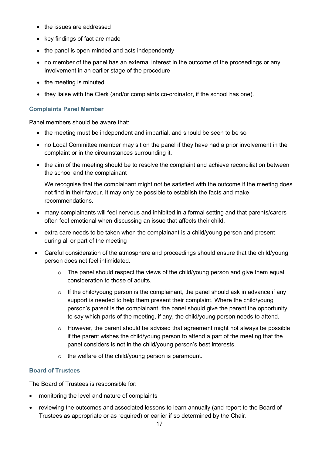- the issues are addressed
- key findings of fact are made
- the panel is open-minded and acts independently
- no member of the panel has an external interest in the outcome of the proceedings or any involvement in an earlier stage of the procedure
- the meeting is minuted
- they liaise with the Clerk (and/or complaints co-ordinator, if the school has one).

#### <span id="page-16-0"></span>**Complaints Panel Member**

Panel members should be aware that:

- the meeting must be independent and impartial, and should be seen to be so
- no Local Committee member may sit on the panel if they have had a prior involvement in the complaint or in the circumstances surrounding it.
- the aim of the meeting should be to resolve the complaint and achieve reconciliation between the school and the complainant

We recognise that the complainant might not be satisfied with the outcome if the meeting does not find in their favour. It may only be possible to establish the facts and make recommendations.

- many complainants will feel nervous and inhibited in a formal setting and that parents/carers often feel emotional when discussing an issue that affects their child.
- extra care needs to be taken when the complainant is a child/young person and present during all or part of the meeting
- Careful consideration of the atmosphere and proceedings should ensure that the child/young person does not feel intimidated.
	- o The panel should respect the views of the child/young person and give them equal consideration to those of adults.
	- $\circ$  If the child/young person is the complainant, the panel should ask in advance if any support is needed to help them present their complaint. Where the child/young person's parent is the complainant, the panel should give the parent the opportunity to say which parts of the meeting, if any, the child/young person needs to attend.
	- o However, the parent should be advised that agreement might not always be possible if the parent wishes the child/young person to attend a part of the meeting that the panel considers is not in the child/young person's best interests.
	- $\circ$  the welfare of the child/young person is paramount.

#### <span id="page-16-1"></span>**Board of Trustees**

The Board of Trustees is responsible for:

- monitoring the level and nature of complaints
- reviewing the outcomes and associated lessons to learn annually (and report to the Board of Trustees as appropriate or as required) or earlier if so determined by the Chair.